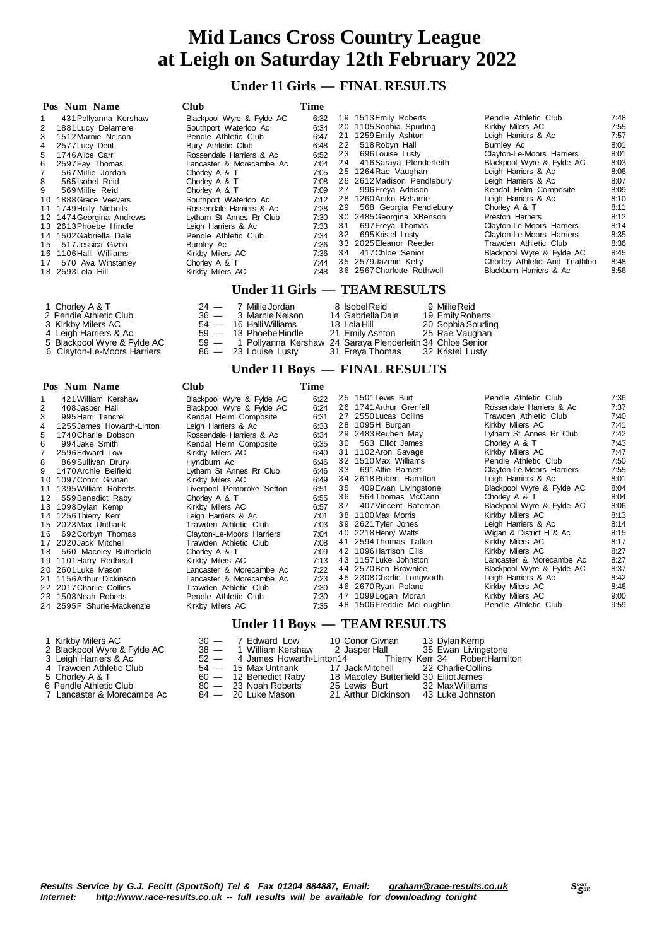# **Under 11 Girls — FINAL RESULTS**

| Pos Num Name             | Club                      | Time |    |                            |                                |      |
|--------------------------|---------------------------|------|----|----------------------------|--------------------------------|------|
| 431 Pollyanna Kershaw    | Blackpool Wyre & Fylde AC | 6:32 |    | 19 1513 Emily Roberts      | Pendle Athletic Club           | 7:48 |
| 1881 Lucy Delamere<br>2  | Southport Waterloo Ac     | 6:34 |    | 20 1105 Sophia Spurling    | Kirkby Milers AC               | 7:55 |
| 1512 Marnie Nelson<br>3  | Pendle Athletic Club      | 6:47 |    | 21 1259 Emily Ashton       | Leigh Harriers & Ac            | 7:57 |
| 2577 Lucy Dent<br>4      | Bury Athletic Club        | 6:48 | 22 | 518 Robyn Hall             | Burnley Ac                     | 8:01 |
| 1746 Alice Carr<br>5.    | Rossendale Harriers & Ac  | 6:52 | 23 | 696 Louise Lusty           | Clayton-Le-Moors Harriers      | 8:01 |
| 2597 Fay Thomas<br>6     | Lancaster & Morecambe Ac  | 7:04 | 24 | 416 Saraya Plenderleith    | Blackpool Wyre & Fylde AC      | 8:03 |
| 567 Millie Jordan        | Chorley A & T             | 7:05 |    | 25 1264 Rae Vaughan        | Leigh Harriers & Ac            | 8:06 |
| 8<br>565 Isobel Reid     | Chorley A & T             | 7:08 |    | 26 2612 Madison Pendlebury | Leigh Harriers & Ac            | 8:07 |
| 9<br>569 Millie Reid     | Chorley A & T             | 7:09 | 27 | 996 Freya Addison          | Kendal Helm Composite          | 8:09 |
| 10 1888 Grace Veevers    | Southport Waterloo Ac     | 7:12 |    | 28 1260 Aniko Beharrie     | Leigh Harriers & Ac            | 8:10 |
| 11 1749 Holly Nicholls   | Rossendale Harriers & Ac  | 7:28 | 29 | 568 Georgia Pendlebury     | Chorley A & T                  | 8:11 |
| 12 1474 Georgina Andrews | Lytham St Annes Rr Club   | 7:30 |    | 30 2485 Georgina XBenson   | Preston Harriers               | 8:12 |
| 13 2613 Phoebe Hindle    | Leigh Harriers & Ac       | 7:33 | 31 | 697 Freya Thomas           | Clayton-Le-Moors Harriers      | 8:14 |
| 14 1502 Gabriella Dale   | Pendle Athletic Club      | 7:34 | 32 | 695 Kristel Lusty          | Clayton-Le-Moors Harriers      | 8:35 |
| 517 Jessica Gizon<br>15  | Burnley Ac                | 7:36 |    | 33 2025 Eleanor Reeder     | Trawden Athletic Club          | 8:36 |
| 16 1106 Halli Williams   | Kirkby Milers AC          | 7:36 | 34 | 417 Chloe Senior           | Blackpool Wyre & Fylde AC      | 8:45 |
| 17 570 Ava Winstanley    | Chorley A & T             | 7:44 |    | 35 2579 Jazmin Kelly       | Chorley Athletic And Triathlon | 8:48 |
| 18 2593 Lola Hill        | Kirkby Milers AC          | 7:48 |    | 36 2567 Charlotte Rothwell | Blackburn Harriers & Ac        | 8:56 |
|                          | <b>TT 1 44 00 1</b>       |      |    |                            |                                |      |

#### **Under 11 Girls — TEAM RESULTS**

| 1 Chorley A & T             |  | 24 — 7 Millie Jordan                                            | 8 Isobel Reid                    | 9 Millie Reid      |
|-----------------------------|--|-----------------------------------------------------------------|----------------------------------|--------------------|
| 2 Pendle Athletic Club      |  | 36 — 3 Marnie Nelson                                            | 14 Gabriella Dale                | 19 Emily Roberts   |
| 3 Kirkby Milers AC          |  | $54 - 16$ Halli Williams                                        | 18 Lola Hill                     | 20 Sophia Spurling |
| 4 Leigh Harriers & Ac       |  | $59 - 13$ Phoebe Hindle                                         | 21 Emily Ashton                  | 25 Rae Vaughan     |
| 5 Blackpool Wyre & Fylde AC |  | 59 - 1 Pollyanna Kershaw 24 Saraya Plenderleith 34 Chloe Senior |                                  |                    |
| 6 Clayton-Le-Moors Harriers |  | $86 - 23$ Louise Lusty                                          | 31 Freya Thomas 32 Kristel Lusty |                    |

# **Under 11 Boys — FINAL RESULTS**

|    | Pos Num Name              | Club                      | Time |    |                            |                           |      |
|----|---------------------------|---------------------------|------|----|----------------------------|---------------------------|------|
|    | 421 William Kershaw       | Blackpool Wyre & Fylde AC | 6:22 |    | 25 1501 Lewis Burt         | Pendle Athletic Club      | 7:36 |
| 2  | 408 Jasper Hall           | Blackpool Wyre & Fylde AC | 6:24 |    | 26 1741 Arthur Grenfell    | Rossendale Harriers & Ac  | 7:37 |
| 3  | 995 Harri Tancrel         | Kendal Helm Composite     | 6:31 |    | 27 2550 Lucas Collins      | Trawden Athletic Club     | 7:40 |
| 4  | 1255 James Howarth-Linton | Leigh Harriers & Ac       | 6:33 |    | 28 1095H Burgan            | Kirkby Milers AC          | 7:41 |
| 5  | 1740 Charlie Dobson       | Rossendale Harriers & Ac  | 6:34 |    | 29 2483 Reuben May         | Lytham St Annes Rr Club   | 7:42 |
| 6  | 994 Jake Smith            | Kendal Helm Composite     | 6:35 | 30 | 563 Elliot James           | Chorley A & T             | 7:43 |
|    | 2596 Edward Low           | Kirkby Milers AC          | 6:40 |    | 31 1102 Aron Savage        | Kirkby Milers AC          | 7:47 |
| 8  | 869 Sullivan Drury        | Hyndburn Ac               | 6:46 |    | 32 1510 Max Williams       | Pendle Athletic Club      | 7:50 |
| 9  | 1470 Archie Belfield      | Lytham St Annes Rr Club   | 6:46 | 33 | 691 Alfie Barnett          | Clayton-Le-Moors Harriers | 7:55 |
|    | 10 1097 Conor Givnan      | Kirkby Milers AC          | 6:49 |    | 34 2618 Robert Hamilton    | Leigh Harriers & Ac       | 8:01 |
|    | 11 1395 William Roberts   | Liverpool Pembroke Sefton | 6:51 | 35 | 409 Ewan Livingstone       | Blackpool Wyre & Fylde AC | 8:04 |
| 12 | 559 Benedict Raby         | Chorley A & T             | 6:55 | 36 | 564 Thomas McCann          | Chorley A & T             | 8:04 |
|    | 13 1098 Dylan Kemp        | Kirkby Milers AC          | 6:57 | 37 | 407 Vincent Bateman        | Blackpool Wyre & Fylde AC | 8:06 |
|    | 14 1256 Thierry Kerr      | Leigh Harriers & Ac       | 7:01 |    | 38 1100 Max Morris         | Kirkby Milers AC          | 8:13 |
|    | 15 2023 Max Unthank       | Trawden Athletic Club     | 7:03 |    | 39 2621 Tyler Jones        | Leigh Harriers & Ac       | 8:14 |
| 16 | 692 Corbyn Thomas         | Clayton-Le-Moors Harriers | 7:04 |    | 40 2218 Henry Watts        | Wigan & District H & Ac   | 8:15 |
|    | 17 2020 Jack Mitchell     | Trawden Athletic Club     | 7:08 |    | 41 2594 Thomas Tallon      | Kirkby Milers AC          | 8:17 |
| 18 | 560 Macoley Butterfield   | Chorley A & T             | 7:09 |    | 42 1096 Harrison Ellis     | Kirkby Milers AC          | 8:27 |
|    | 19 1101 Harry Redhead     | Kirkby Milers AC          | 7:13 |    | 43 1157 Luke Johnston      | Lancaster & Morecambe Ac  | 8:27 |
|    | 20 2601 Luke Mason        | Lancaster & Morecambe Ac  | 7:22 |    | 44 2570 Ben Brownlee       | Blackpool Wyre & Fylde AC | 8:37 |
|    | 21 1156 Arthur Dickinson  | Lancaster & Morecambe Ac  | 7:23 |    | 45 2308 Charlie Longworth  | Leigh Harriers & Ac       | 8:42 |
|    | 22 2017 Charlie Collins   | Trawden Athletic Club     | 7:30 |    | 46 2670Ryan Poland         | Kirkby Milers AC          | 8:46 |
|    | 23 1508 Noah Roberts      | Pendle Athletic Club      | 7:30 |    | 47 1099 Logan Moran        | Kirkby Milers AC          | 9:00 |
|    | 24 2595F Shurie-Mackenzie | Kirkby Milers AC          | 7:35 |    | 48 1506 Freddie McLoughlin | Pendle Athletic Club      | 9:59 |
|    |                           |                           |      |    |                            |                           |      |

- 
- 
- 
- 
- 
- 
- 7 Lancaster & Mo

### **Under 11 Boys — TEAM RESULTS**

| 1 Kirkby Milers AC          | 30 — 7 Edward Low 10 Conor Givnan |                                                               | 13 Dylan Kemp |
|-----------------------------|-----------------------------------|---------------------------------------------------------------|---------------|
| 2 Blackpool Wyre & Fylde AC |                                   | 38 - 1 William Kershaw 2 Jasper Hall 35 Ewan Livingstone      |               |
| 3 Leigh Harriers & Ac       |                                   | 52 - 4 James Howarth-Linton14 Thierry Kerr 34 Robert Hamilton |               |
| 4 Trawden Athletic Club     |                                   | 54 - 15 Max Unthank 17 Jack Mitchell 22 Charlie Collins       |               |
| 5 Chorley A & T             | $60 - 12$ Benedict Raby           | 18 Macoley Butterfield 30 Elliot James                        |               |
| 6  Pendle Athletic Club I   | 80 - 23 Noah Roberts              | 25 Lewis Burt 32 Max Williams                                 |               |
| 7 Lancaster & Morecambe Ac  | 84 — 20 Luke Mason                | 21 Arthur Dickinson 43 Luke Johnston                          |               |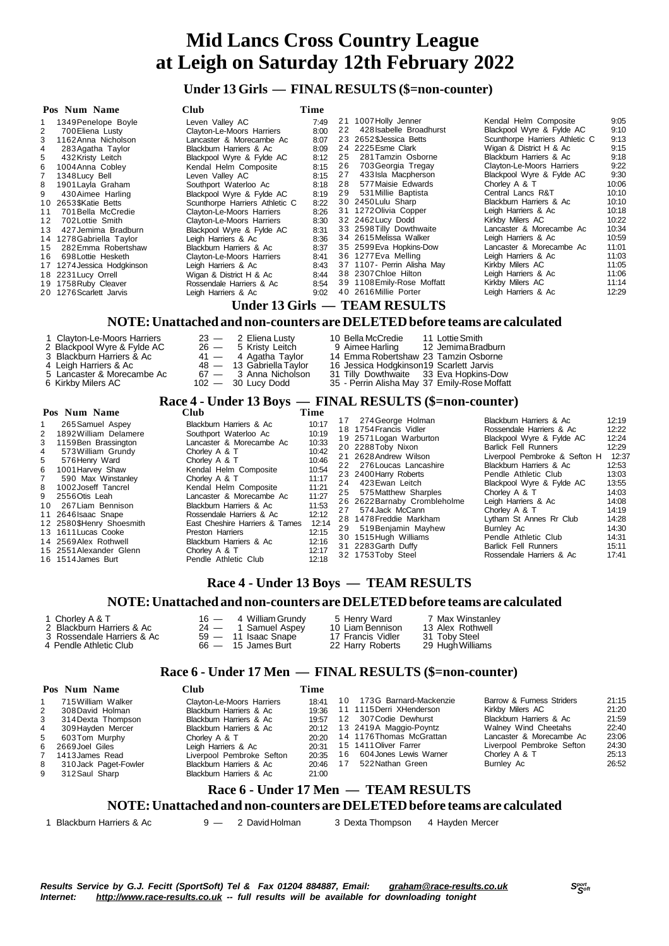# **Under 13 Girls — FINAL RESULTS (\$=non-counter)**

| Pos Num Name                                                                            | <b>Club</b>                                                                        | Time |    |                                                                                                                       |                                |       |  |  |  |
|-----------------------------------------------------------------------------------------|------------------------------------------------------------------------------------|------|----|-----------------------------------------------------------------------------------------------------------------------|--------------------------------|-------|--|--|--|
| 1349 Penelope Boyle                                                                     | Leven Valley AC                                                                    | 7:49 | 21 | 1007 Holly Jenner                                                                                                     | Kendal Helm Composite          | 9:05  |  |  |  |
| 2<br>700 Eliena Lusty                                                                   | Clayton-Le-Moors Harriers                                                          | 8:00 | 22 | 428 Isabelle Broadhurst                                                                                               | Blackpool Wyre & Fylde AC      | 9:10  |  |  |  |
| 1162 Anna Nicholson                                                                     | Lancaster & Morecambe Ac                                                           | 8:07 |    | 23 2652 SJessica Betts                                                                                                | Scunthorpe Harriers Athletic C | 9:13  |  |  |  |
| 283 Agatha Taylor<br>4                                                                  | Blackburn Harriers & Ac                                                            | 8:09 |    | 24 2225 Esme Clark                                                                                                    | Wigan & District H & Ac        | 9:15  |  |  |  |
| 5<br>432 Kristy Leitch                                                                  | Blackpool Wyre & Fylde AC                                                          | 8:12 | 25 | 281 Tamzin Osborne                                                                                                    | Blackburn Harriers & Ac        | 9:18  |  |  |  |
| 1004 Anna Cobley                                                                        | Kendal Helm Composite                                                              | 8:15 | 26 | 703 Georgia Tregay                                                                                                    | Clayton-Le-Moors Harriers      | 9:22  |  |  |  |
| 1348 Lucy Bell                                                                          | Leven Valley AC                                                                    | 8:15 | 27 | 433 Isla Macpherson                                                                                                   | Blackpool Wyre & Fylde AC      | 9:30  |  |  |  |
| 1901 Layla Graham<br>8                                                                  | Southport Waterloo Ac                                                              | 8:18 | 28 | 577 Maisie Edwards                                                                                                    | Chorley A & T                  | 10:06 |  |  |  |
| 9<br>430 Aimee Harling                                                                  | Blackpool Wyre & Fylde AC                                                          | 8:19 | 29 | 531 Millie Baptista                                                                                                   | Central Lancs R&T              | 10:10 |  |  |  |
| 2653\$Katie Betts<br>10                                                                 | Scunthorpe Harriers Athletic C                                                     | 8:22 |    | 30 2450 Lulu Sharp                                                                                                    | Blackburn Harriers & Ac        | 10:10 |  |  |  |
| 701 Bella McCredie<br>11                                                                | Clayton-Le-Moors Harriers                                                          | 8:26 |    | 31 1272 Olivia Copper                                                                                                 | Leigh Harriers & Ac            | 10:18 |  |  |  |
| 702 Lottie Smith<br>12                                                                  | Clayton-Le-Moors Harriers                                                          | 8:30 |    | 32 2462 Lucy Dodd                                                                                                     | Kirkby Milers AC               | 10:22 |  |  |  |
| 13<br>427 Jemima Bradburn                                                               | Blackpool Wyre & Fylde AC                                                          | 8:31 |    | 33 2598 Tilly Dowthwaite                                                                                              | Lancaster & Morecambe Ac       | 10:34 |  |  |  |
| 1278 Gabriella Taylor<br>14                                                             | Leigh Harriers & Ac                                                                | 8:36 |    | 34 2615 Melissa Walker                                                                                                | Leigh Harriers & Ac            | 10:59 |  |  |  |
| 282 Emma Robertshaw<br>15                                                               | Blackburn Harriers & Ac                                                            | 8:37 |    | 35 2599 Eva Hopkins-Dow                                                                                               | Lancaster & Morecambe Ac       | 11:01 |  |  |  |
| 698 Lottie Hesketh<br>16                                                                | Clayton-Le-Moors Harriers                                                          | 8:41 |    | 36 1277 Eva Melling                                                                                                   | Leigh Harriers & Ac            | 11:03 |  |  |  |
| 1274 Jessica Hodgkinson<br>17                                                           | Leigh Harriers & Ac                                                                | 8:43 |    | 37 1107- Perrin Alisha May                                                                                            | Kirkby Milers AC               | 11:05 |  |  |  |
| 18 2231 Lucy Orrell                                                                     | Wigan & District H & Ac                                                            | 8:44 |    | 38 2307 Chloe Hilton                                                                                                  | Leigh Harriers & Ac            | 11:06 |  |  |  |
| 19 1758 Ruby Cleaver                                                                    | Rossendale Harriers & Ac                                                           | 8:54 |    | 39 1108 Emily-Rose Moffatt                                                                                            | Kirkby Milers AC               | 11:14 |  |  |  |
| 20 1276 Scarlett Jarvis                                                                 | Leigh Harriers & Ac                                                                | 9:02 |    | 40 2616 Millie Porter                                                                                                 | Leigh Harriers & Ac            | 12:29 |  |  |  |
|                                                                                         |                                                                                    |      |    | Under 13 Girls — TEAM RESULTS                                                                                         |                                |       |  |  |  |
|                                                                                         | NOTE: Unattached and non-counters are DELETED before teams are calculated          |      |    |                                                                                                                       |                                |       |  |  |  |
| 1 Clayton-Le-Moors Harriers<br>2 Blackpool Wyre & Fylde AC<br>3 Blackburn Harriers & Ac | $23 -$<br>2 Eliena Lusty<br>$26 -$<br>5 Kristy Leitch<br>$41 -$<br>4 Agatha Taylor |      |    | 10 Bella McCredie<br>11 Lottie Smith<br>9 Aimee Harling<br>12 Jemima Bradburn<br>14 Emma Robertshaw 23 Tamzin Osborne |                                |       |  |  |  |

| 1 Clayton-Le-Moors Harriers | $23 - 2$ Eliena Lusty    | 10 Bella McCredie<br>11 Lottie Smith    |
|-----------------------------|--------------------------|-----------------------------------------|
| 2 Blackpool Wyre & Fylde AC | $26 - 5$ Kristy Leitch   | 9 Aimee Harling 12 Jemima Bradburn      |
| 3 Blackburn Harriers & Ac   | 41 — 4 Agatha Taylor     | 14 Emma Robertshaw 23 Tamzin Osborne    |
| 4 Leigh Harriers & Ac       | 48 — 13 Gabriella Tavlor | 16 Jessica Hodgkinson19 Scarlett Jarvis |
| 5 Lancaster & Morecambe Ac  | 67 — 3 Anna Nicholson    | 31 Tilly Dowthwaite 33 Eva Hopkins-Dow  |

- Kirkby Milers AC 102 30 Lucy Dodd 35 Perrin Alisha May 37 Emily-Rose Moffatt
- 

|                                                                 |                                    | Race 4 - Under 13 Boys — FINAL RESULTS (\$=non-counter) |
|-----------------------------------------------------------------|------------------------------------|---------------------------------------------------------|
| $\mathbf{D}$ and $\mathbf{M}$ and $\mathbf{M}$ and $\mathbf{M}$ | $\sim$ $\sim$ $\sim$ $\sim$ $\sim$ |                                                         |

| Pos Num Name                                                                                                                                                                                                                                                                                                                                                                                                  | <b>Club</b>                                                                                                                                                                                                                                                                                                                                                                                    | Time                                                                                                                                         |          |                                                                                                                                                                                                                                                                                                                                                                                                          |                                                                                                                                                                                                                                                                                                                                                                                                                       |                                                                                                                                              |
|---------------------------------------------------------------------------------------------------------------------------------------------------------------------------------------------------------------------------------------------------------------------------------------------------------------------------------------------------------------------------------------------------------------|------------------------------------------------------------------------------------------------------------------------------------------------------------------------------------------------------------------------------------------------------------------------------------------------------------------------------------------------------------------------------------------------|----------------------------------------------------------------------------------------------------------------------------------------------|----------|----------------------------------------------------------------------------------------------------------------------------------------------------------------------------------------------------------------------------------------------------------------------------------------------------------------------------------------------------------------------------------------------------------|-----------------------------------------------------------------------------------------------------------------------------------------------------------------------------------------------------------------------------------------------------------------------------------------------------------------------------------------------------------------------------------------------------------------------|----------------------------------------------------------------------------------------------------------------------------------------------|
| 265 Samuel Aspey<br>1892 William Delamere<br>2<br>1159 Ben Brassington<br>3<br>573 William Grundy<br>4<br>5<br>576 Henry Ward<br>6<br>1001 Harvey Shaw<br>590 Max Winstanley<br>1002 Joseff Tancrel<br>8<br>2556Otis Leah<br>9<br>267 Liam Bennison<br>10<br>11 2646 Isaac Snape<br>12 2580\$Henry Shoesmith<br>13 1611 Lucas Cooke<br>14 2569 Alex Rothwell<br>15 2551 Alexander Glenn<br>16 1514 James Burt | Blackburn Harriers & Ac<br>Southport Waterloo Ac<br>Lancaster & Morecambe Ac<br>Chorley A & T<br>Chorley A & T<br>Kendal Helm Composite<br>Chorley A & T<br>Kendal Helm Composite<br>Lancaster & Morecambe Ac<br>Blackburn Harriers & Ac<br>Rossendale Harriers & Ac<br>East Cheshire Harriers & Tames<br>Preston Harriers<br>Blackburn Harriers & Ac<br>Chorley A & T<br>Pendle Athletic Club | 10:17<br>10:19<br>10:33<br>10:42<br>10:46<br>10:54<br>11:17<br>11:21<br>11:27<br>11:53<br>12:12<br>12:14<br>12:15<br>12:16<br>12:17<br>12:18 | 24<br>27 | 17 274 George Holman<br>18 1754 Francis Vidler<br>19 2571 Logan Warburton<br>20 2288 Toby Nixon<br>21 2628 Andrew Wilson<br>22 276 Loucas Lancashire<br>23 2400 Harry Roberts<br>423 Ewan Leitch<br>25 575 Matthew Sharples<br>26 2622 Barnaby Crombleholme<br>574 Jack McCann<br>28 1478 Freddie Markham<br>29 519 Benjamin Mayhew<br>30 1515 Hugh Williams<br>31 2283 Garth Duffy<br>32 1753Toby Steel | Blackburn Harriers & Ac<br>Rossendale Harriers & Ac<br>Blackpool Wyre & Fylde AC<br><b>Barlick Fell Runners</b><br>Liverpool Pembroke & Sefton H<br>Blackburn Harriers & Ac<br>Pendle Athletic Club<br>Blackpool Wyre & Fylde AC<br>Chorley A & T<br>Leigh Harriers & Ac<br>Chorley A & T<br>Lytham St Annes Rr Club<br>Burnley Ac<br>Pendle Athletic Club<br><b>Barlick Fell Runners</b><br>Rossendale Harriers & Ac | 12:19<br>12:22<br>12:24<br>12:29<br>12:37<br>12:53<br>13:03<br>13:55<br>14:03<br>14:08<br>14:19<br>14:28<br>14:30<br>14:31<br>15:11<br>17:41 |
|                                                                                                                                                                                                                                                                                                                                                                                                               |                                                                                                                                                                                                                                                                                                                                                                                                |                                                                                                                                              |          |                                                                                                                                                                                                                                                                                                                                                                                                          |                                                                                                                                                                                                                                                                                                                                                                                                                       |                                                                                                                                              |

3 Blackburn Harriers & Agatha Taylor 14 Emma Robertshaw 23 Tamzin Osborne<br>
3 Blackburn Harriers & Acceler 16 Jessica Hodgkinson 19 Scarlett Jarvis<br>
3 Bua Hopkins-Down 31 Tilly Dowthwaite 33 Eva Hopkins-Down

# **Race 4 - Under 13 Boys — TEAM RESULTS**

### **NOTE:Unattached and non-counters are DELETEDbefore teams are calculated**

| 1 Chorley A & T            | $16 - 4$ William Grundy | 5 Henry Ward      | 7 Max Winstanley |
|----------------------------|-------------------------|-------------------|------------------|
| 2 Blackburn Harriers & Ac  | 24 - 1 Samuel Aspey     | 10 Liam Bennison  | 13 Alex Rothwell |
| 3 Rossendale Harriers & Ac | 59 — 11 Isaac Snape     | 17 Francis Vidler | 31 Toby Steel    |
| 4 Pendle Athletic Club     | $66 - 15$ James Burt    | 22 Harry Roberts  | 29 Hugh Williams |

# **Race 6 - Under 17 Men — FINAL RESULTS (\$=non-counter)**

|                | Pos Num Name                         | Club                      | Time  |    |                           |                           |       |  |  |
|----------------|--------------------------------------|---------------------------|-------|----|---------------------------|---------------------------|-------|--|--|
|                | 715 William Walker                   | Clayton-Le-Moors Harriers | 18:41 |    | 10 173G Barnard-Mackenzie | Barrow & Furness Striders | 21:15 |  |  |
| 2              | 308 David Holman                     | Blackburn Harriers & Ac   | 19:36 |    | 11 1115 Derri XHenderson  | Kirkby Milers AC          | 21:20 |  |  |
| 3              | 314 Dexta Thompson                   | Blackburn Harriers & Ac   | 19:57 |    | 12 307 Codie Dewhurst     | Blackburn Harriers & Ac   | 21:59 |  |  |
| $\overline{4}$ | 309 Hayden Mercer                    | Blackburn Harriers & Ac   | 20:12 |    | 13 2419A Maggio-Poyntz    | Walney Wind Cheetahs      | 22:40 |  |  |
| 5              | 603Tom Murphy                        | Chorley A & T             | 20:20 |    | 14 1176 Thomas McGrattan  | Lancaster & Morecambe Ac  | 23:06 |  |  |
|                | 6 2669 Joel Giles                    | Leigh Harriers & Ac       | 20:31 |    | 15 1411 Oliver Farrer     | Liverpool Pembroke Sefton | 24:30 |  |  |
| $7^{\circ}$    | 1413 James Read                      | Liverpool Pembroke Sefton | 20:35 | 16 | 604 Jones Lewis Warner    | Chorley A & T             | 25:13 |  |  |
| 8              | 310 Jack Paget-Fowler                | Blackburn Harriers & Ac   | 20:46 | 17 | 522 Nathan Green          | Burnley Ac                | 26:52 |  |  |
| 9              | 312 Saul Sharp                       | Blackburn Harriers & Ac   | 21:00 |    |                           |                           |       |  |  |
|                | Race 6 - Under 17 Men — TEAM RESULTS |                           |       |    |                           |                           |       |  |  |

### **NOTE:Unattached and non-counters are DELETEDbefore teams are calculated**

Blackburn Harriers & Ac 9 — 2 DavidHolman 3 Dexta Thompson 4 Hayden Mercer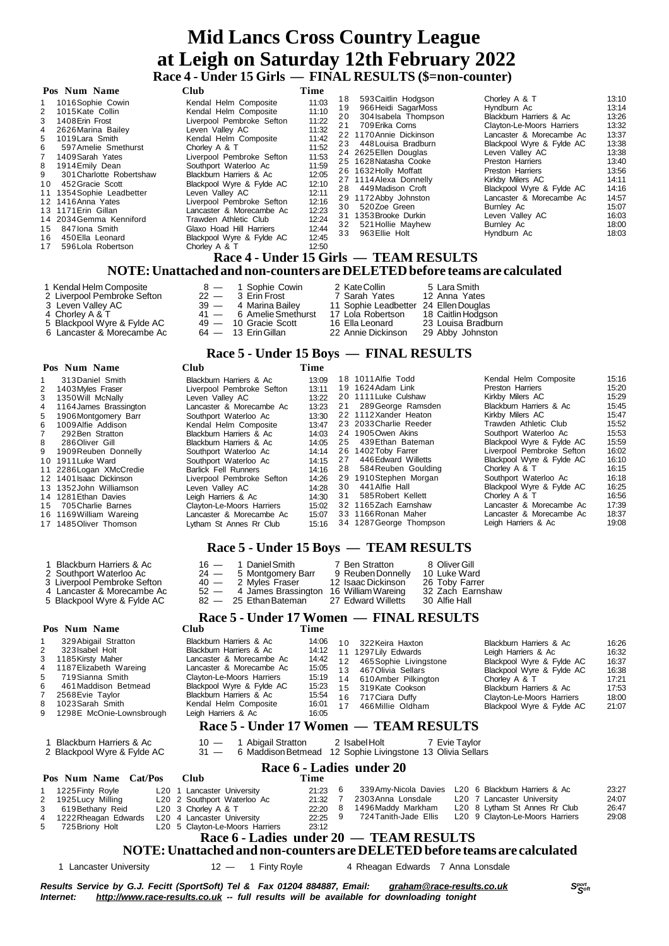# **Mid Lancs Cross Country League at Leigh on Saturday 12th February 2022 Race 4 - Under 15 Girls — FINAL RESULTS (\$=non-counter)**

#### $P_{\text{OE}}$  **Num Name**

| том тани таніс                                                                                                                                                                                                                                                                                                                                                                                                                                                          | ∪uw                                                                                                                                                                                                                                                                                                                                                                                                                                   | л нис                                                                                                                                                 |                                  |                                                                                                                                                                                                                                                                                                                                                                                                                               |                                                                                                                                                                                                                                                                                                                                                     |                                                                                                                                              |
|-------------------------------------------------------------------------------------------------------------------------------------------------------------------------------------------------------------------------------------------------------------------------------------------------------------------------------------------------------------------------------------------------------------------------------------------------------------------------|---------------------------------------------------------------------------------------------------------------------------------------------------------------------------------------------------------------------------------------------------------------------------------------------------------------------------------------------------------------------------------------------------------------------------------------|-------------------------------------------------------------------------------------------------------------------------------------------------------|----------------------------------|-------------------------------------------------------------------------------------------------------------------------------------------------------------------------------------------------------------------------------------------------------------------------------------------------------------------------------------------------------------------------------------------------------------------------------|-----------------------------------------------------------------------------------------------------------------------------------------------------------------------------------------------------------------------------------------------------------------------------------------------------------------------------------------------------|----------------------------------------------------------------------------------------------------------------------------------------------|
| 1016Sophie Cowin<br>$1 \quad$<br>1015 Kate Collin<br>2<br>1408 Erin Frost<br>3<br>2626 Marina Bailey<br>4<br>1019 Lara Smith<br>5<br>597 Amelie Smethurst<br>6<br>$7^{\circ}$<br>1409 Sarah Yates<br>1914 Emily Dean<br>8<br>9<br>301 Charlotte Robertshaw<br>452 Gracie Scott<br>10<br>11 1354 Sophie Leadbetter<br>12 1416 Anna Yates<br>13 1171 Erin Gillan<br>14 2034 Gemma Kenniford<br>847 Iona Smith<br>15<br>450 Ella Leonard<br>16<br>596 Lola Robertson<br>17 | Kendal Helm Composite<br>Kendal Helm Composite<br>Liverpool Pembroke Sefton<br>Leven Vallev AC<br>Kendal Helm Composite<br>Chorley A & T<br>Liverpool Pembroke Sefton<br>Southport Waterloo Ac<br>Blackburn Harriers & Ac<br>Blackpool Wyre & Fylde AC<br>Leven Vallev AC<br>Liverpool Pembroke Sefton<br>Lancaster & Morecambe Ac<br>Trawden Athletic Club<br>Glaxo Hoad Hill Harriers<br>Blackpool Wyre & Fylde AC<br>Chorley A & T | 11:03<br>11:10<br>11:22<br>11:32<br>11:42<br>11:52<br>11:53<br>11:59<br>12:05<br>12:10<br>12:11<br>12:16<br>12:23<br>12:24<br>12:44<br>12:45<br>12:50 | 18<br>19<br>20<br>21<br>30<br>33 | 593 Caitlin Hodgson<br>966 Heidi SagarMoss<br>304 Isabela Thompson<br>709 Erika Corns<br>22 1170 Annie Dickinson<br>23 448 Louisa Bradburn<br>24 2625 Ellen Douglas<br>25 1628 Natasha Cooke<br>26 1632 Holly Moffatt<br>27 1114 Alexa Donnelly<br>28 449 Madison Croft<br>29 1172 Abby Johnston<br>520Zoe Green<br>31 1353 Brooke Durkin<br>32 521 Hollie Mayhew<br>963 Ellie Holt<br>Race 4 - Under 15 Girls — TEAM RESULTS | Chorley A & T<br>Hyndburn Ac<br>Blackburn Harriers & Ac<br>Clayton-Le-Moors Harriers<br>Lancaster & Morecambe Ac<br>Blackpool Wyre & Fylde AC<br>Leven Valley AC<br>Preston Harriers<br>Preston Harriers<br>Kirkby Milers AC<br>Blackpool Wyre & Fylde AC<br>Lancaster & Morecambe Ac<br>Burnley Ac<br>Leven Valley AC<br>Burnley Ac<br>Hyndburn Ac | 13:10<br>13:14<br>13:26<br>13:32<br>13:37<br>13:38<br>13:38<br>13:40<br>13:56<br>14:11<br>14:16<br>14:57<br>15:07<br>16:03<br>18:00<br>18:03 |
|                                                                                                                                                                                                                                                                                                                                                                                                                                                                         | NOTE: Unattached and non-counters are DELETED before teams are calculated                                                                                                                                                                                                                                                                                                                                                             |                                                                                                                                                       |                                  |                                                                                                                                                                                                                                                                                                                                                                                                                               |                                                                                                                                                                                                                                                                                                                                                     |                                                                                                                                              |

- 1 Kendal Helm Composite  $\begin{array}{cccc} 8 & & 1 & \text{Sophie} & \text{Cowin} & 2 & \text{KateCollin} & 5 & \text{Lara Smith} \\ 2 & \text{Liverpool Pembroke} & \text{Setton} & 22 & & 3 & \text{Erin Frost} & 7 & \text{Sarah Yates} & 12 & \text{Anna Yates} \end{array}$
- 2 Liverpool Pembroke Sefton 22 3 Erin Frost 7 Sarah Yates 12 Anna Yates
- 3 Leven Valley AC 39 4 Marina Bailey 11 Sophie Leadbetter 24 EllenDouglas
- 
- 4 Chorley AC 24 Chorley AC 23 Leven Valley AC 23 Leven Valley AC 39 4 Marina Bailey 11 Sophie Leadbetter 24 Ellen Douglas<br>4 Chorley A & T 41 6 Amelie Smethurst 17 Lola Robertson 18 Caitlin Hodgson<br>5 Blackpool Wyre & Fy 5 Blackpool Wyre & Fylde AC 49 — 10 Gracie Scott 16 Ella Leonard 23 Louisa Bradburn 6 Lancaster & Morecambe Ac 64 — 13 ErinGillan 22 Annie Dickinson 29 Abby Johnston
- 

1 Blackburn Harriers & Ac Southport Waterloo Ac 3 Liverpool Pembroke Sefton 4 Lancaster & Morecambe Ac 5 Blackpool Wyre & Fylde AC

#### **Pos Num Name Club Time**

|    | 313 Daniel Smith        | Blackburn Harriers & Ac     | 13:09 |    | 18 1011 Alfie Todd      | Kendal Helm Composite     | 15:16 |
|----|-------------------------|-----------------------------|-------|----|-------------------------|---------------------------|-------|
| 2  | 1403 Myles Fraser       | Liverpool Pembroke Sefton   | 13:11 |    | 19 1624 Adam Link       | Preston Harriers          | 15:20 |
| 3  | 1350 Will McNally       | Leven Valley AC             | 13:22 |    | 20 1111 Luke Culshaw    | Kirkby Milers AC          | 15:29 |
| 4  | 1164 James Brassington  | Lancaster & Morecambe Ac    | 13:23 |    | 21 289 George Ramsden   | Blackburn Harriers & Ac   | 15:45 |
| 5. | 1906 Montgomery Barr    | Southport Waterloo Ac       | 13:30 |    | 22 1112 Xander Heaton   | Kirkby Milers AC          | 15:47 |
|    | 6 1009 Alfie Addison    | Kendal Helm Composite       | 13:47 |    | 23 2033 Charlie Reeder  | Trawden Athletic Club     | 15:52 |
|    | 292 Ben Stratton        | Blackburn Harriers & Ac     | 14:03 |    | 24 1905 Owen Akins      | Southport Waterloo Ac     | 15:53 |
|    | 8 286 Oliver Gill       | Blackburn Harriers & Ac     | 14:05 | 25 | 439 Ethan Bateman       | Blackpool Wyre & Fylde AC | 15:59 |
|    | 9 1909 Reuben Donnelly  | Southport Waterloo Ac       | 14:14 |    | 26 1402 Toby Farrer     | Liverpool Pembroke Sefton | 16:02 |
|    | 10 1911 Luke Ward       | Southport Waterloo Ac       | 14:15 | 27 | 446 Edward Willetts     | Blackpool Wyre & Fylde AC | 16:10 |
|    | 11 2286 Logan XMcCredie | <b>Barlick Fell Runners</b> | 14:16 | 28 | 584 Reuben Goulding     | Chorley A & T             | 16:15 |
|    | 12 1401 Isaac Dickinson | Liverpool Pembroke Sefton   | 14:26 |    | 29 1910 Stephen Morgan  | Southport Waterloo Ac     | 16:18 |
|    | 13 1352 John Williamson | Leven Valley AC             | 14:28 | 30 | 441 Alfie Hall          | Blackpool Wyre & Fylde AC | 16:25 |
|    | 14 1281 Ethan Davies    | Leigh Harriers & Ac         | 14:30 | 31 | 585 Robert Kellett      | Chorley A & T             | 16:56 |
|    | 15 705 Charlie Barnes   | Clayton-Le-Moors Harriers   | 15:02 |    | 32 1165Zach Earnshaw    | Lancaster & Morecambe Ac  | 17:39 |
|    | 16 1169 William Wareing | Lancaster & Morecambe Ac    | 15:07 |    | 33 1166 Ronan Maher     | Lancaster & Morecambe Ac  | 18:37 |
|    | 17 1485 Oliver Thomson  | Lytham St Annes Rr Club     | 15:16 |    | 34 1287 George Thompson | Leigh Harriers & Ac       | 19:08 |
|    |                         |                             |       |    |                         |                           |       |
|    |                         |                             |       |    |                         |                           |       |

 **Race 5 - Under 15 Boys — FINAL RESULTS**

### **Race 5 - Under 15 Boys — TEAM RESULTS**

| $16 -$ | 1 Daniel Smith                         | 7 Ben Stratton     | 8 Oliver Gill    |
|--------|----------------------------------------|--------------------|------------------|
| $24 -$ | 5 Montgomery Barr                      | 9 Reuben Donnelly  | 10 Luke Ward     |
|        | 40 - 2 Myles Fraser                    | 12 Isaac Dickinson | 26 Toby Farrer   |
| $52 -$ | 4 James Brassington 16 William Wareing |                    | 32 Zach Earnshaw |
|        | 82 - 25 Ethan Bateman                  | 27 Edward Willetts | 30 Alfie Hall    |

# **Race 5 - Under 17 Women — FINAL RESULTS**

#### **Pos Num Name Club Time** 1 329Abigail Stratton Blackburn Harriers & Ac 14:06 2 323 Isabel Holt Blackburn Harriers & Ac 14:12<br>2 1185 Kirsty Maher Lancaster & Morecambe Ac 14:42 3 1185Kirsty Maher Lancaster & Morecambe Ac 14:42 4 1187Elizabeth Wareing Lancaster & Morecambe Ac 15:05 5 719 Sianna Smith Clayton-Le-Moors Harriers 15:19<br>6 461 Maddison Betmead Blackpool Wyre & Fylde AC 15:23 461 Maddison Betmead Blackpool Wyre & Fylde AC<br>2568 Evie Taylor Blackbum Harriers & Ac<br>1023 Sarah Smith Kendal Helm Composite 7 2568Evie Taylor Blackburn Harriers & Ac 15:54<br>8 1023Sarah Smith Kendal Helm Composite 16:01 8 1023Sarah Smith Kendal Helm Composite 16:01 1298E McOnie-Lownsbrough 1 0 322Keira Haxton Blackburn Harriers & Ac 16:26 11 1297 Lily Edwards Leigh Harriers & Ac 16:32<br>12 465 Sophie Livingstone Blackpool Wyre & Fylde AC 16:37 1 2 465Sophie Livingstone Blackpool Wyre & Fylde AC 16:37 Blackpool Wyre & Fylde AC 14 610 Amber Pilkington Chorley A & T 17:21<br>15 319 Kate Cookson Blackburn Harriers & Ac 17:53 1 1 5 319Kate Cookson Blackburn Harriers & Ac 17:53<br>16 717 Ciara Duffy Clayton-Le-Moors Harriers 18:00 16 717 Ciara Duffy Clayton-Le-Moors Harriers 18:00<br>17 466 Millie Oldham Blackpool Wyre & Fylde AC 21:07 Blackpool Wyre & Fylde AC

#### **Race 5 - Under 17 Women — TEAM RESULTS**

1 Blackburn Harriers & Ac 10 — 1 Abigail Stratton 2 IsabelHolt 7 Evie Taylor 2 Blackpool Wyre & Fylde AC 31 — 6 MaddisonBetmead 12 Sophie Livingstone 13 Olivia Sellars

# **Race 6 - Ladies under 20**

|             | Tus Num Name Cavitus Club |                                 | .       |                       |                                                     |       |
|-------------|---------------------------|---------------------------------|---------|-----------------------|-----------------------------------------------------|-------|
|             | 1225 Finty Royle          | L20 1 Lancaster University      | 21:23   |                       | 339 Amy-Nicola Davies L20 6 Blackburn Harriers & Ac | 23:27 |
|             | 2 1925 Lucy Milling       | L20 2 Southport Waterloo Ac     | 21:32   | 2303Anna Lonsdale     | L20 7 Lancaster University                          | 24:07 |
| $3^{\circ}$ | 619 Bethany Reid          | L20 3 Chorley A & T             | 22:20 8 | 1496Maddy Markham     | L20 8 Lytham St Annes Rr Club                       | 26:47 |
|             | 4 1222 Rheagan Edwards    | L20 4 Lancaster University      | 22:25 9 | 724 Tanith-Jade Ellis | L20 9 Clayton-Le-Moors Harriers                     | 29:08 |
| 5           | 725 Briony Holt           | L20 5 Clayton-Le-Moors Harriers | 23:12   |                       |                                                     |       |

### **Race 6 - Ladies under 20 — TEAM RESULTS**

#### **NOTE:Unattached and non-counters are DELETEDbefore teams are calculated**

 **Pos Num Name Cat/Pos Club Time**

1 Lancaster University 12 - 1 Finty Royle 4 Rheagan Edwards 7 Anna Lonsdale

Results Service by G.J. Fecitt (SportSoft) Tel & Fax 01204 884887, Email: [graham@race-results.co.uk](mailto:graham@race-results.co.uk)<br>Internet: http://www.race-results.co.uk -- full results will be available for downloading tonight *Internet: <http://www.race-results.co.uk> -- full results will be available for downloading tonight*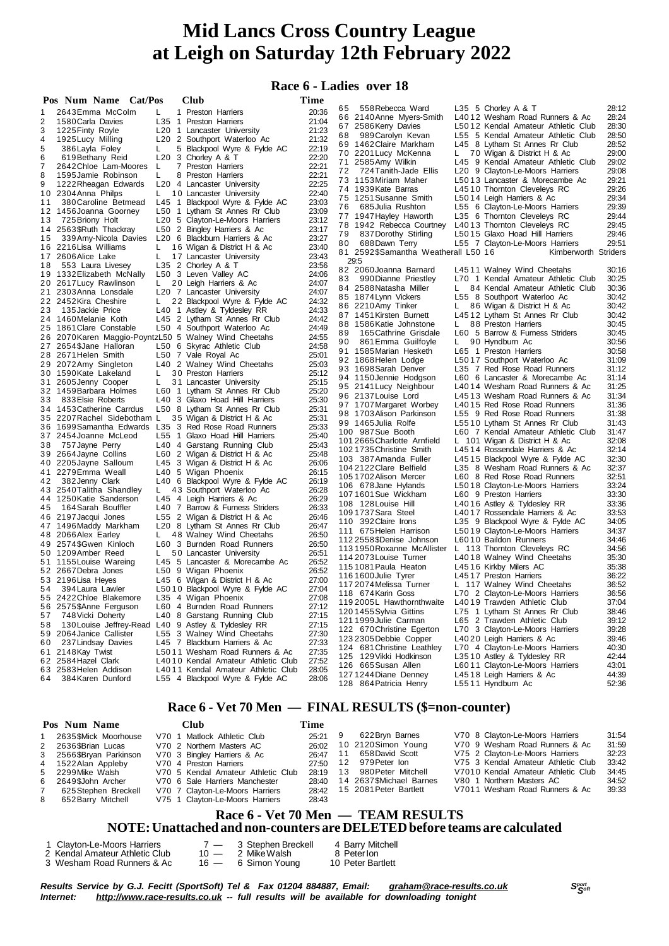# **Race 6 - Ladies over 18**

|    | Pos Num Name Cat/Pos                                  |    | Club                                      | Time  |    |                                            |    |                                                       |                |
|----|-------------------------------------------------------|----|-------------------------------------------|-------|----|--------------------------------------------|----|-------------------------------------------------------|----------------|
|    | 2643 Emma McColm                                      | L. | 1 Preston Harriers                        | 20:36 | 65 | 558 Rebecca Ward                           |    | L35 5 Chorley A & T                                   | 28:12          |
| 2  | 1580 Carla Davies                                     |    | L35 1 Preston Harriers                    | 21:04 |    | 66 2140 Anne Myers-Smith                   |    | L4012 Wesham Road Runners & Ac                        | 28:24          |
| 3  | 1225 Finty Royle                                      |    | L20 1 Lancaster University                | 21:23 |    | 67 2586 Kerry Davies                       |    | L5012 Kendal Amateur Athletic Club                    | 28:30          |
| 4  | 1925 Lucy Milling                                     |    | L20 2 Southport Waterloo Ac               | 21:32 | 68 | 989 Carolyn Kevan                          |    | L55 5 Kendal Amateur Athletic Club                    | 28:50          |
| 5  | 386 Layla Foley                                       | L. | 5 Blackpool Wyre & Fylde AC               | 22:19 |    | 69 1462 Claire Markham                     |    | L45 8 Lytham St Annes Rr Club                         | 28:52          |
| 6  | 619 Bethany Reid                                      |    | L20 $3$ Chorley A & T                     | 22:20 |    | 70 2201 Lucy McKenna                       | L. | 70 Wigan & District H & Ac                            | 29:00          |
| 7  | 2642 Chloe Lam-Moores                                 | L  | 7 Preston Harriers                        | 22:21 |    | 71 2585 Amy Wilkin                         |    | L45 9 Kendal Amateur Athletic Club                    | 29:02          |
| 8  | 1595 Jamie Robinson                                   | L  | 8 Preston Harriers                        | 22:21 | 72 | 724 Tanith-Jade Ellis                      |    | L20 9 Clayton-Le-Moors Harriers                       | 29:08          |
| 9  | 1222 Rheagan Edwards                                  |    | L20 4 Lancaster University                | 22:25 |    | 73 1153 Miriam Maher                       |    | L5013 Lancaster & Morecambe Ac                        | 29:21          |
|    | 10 2304 Anna Philps                                   | L. | 10 Lancaster University                   | 22:40 |    | 74 1939 Kate Barras                        |    | L4510 Thornton Cleveleys RC                           | 29:26          |
| 11 | 380 Caroline Betmead                                  |    | L45 1 Blackpool Wyre & Fylde AC           | 23:03 |    | 75 1251 Susanne Smith                      |    | L5014 Leigh Harriers & Ac                             | 29:34          |
|    | 12 1456 Joanna Goorney                                |    | L50 1 Lytham St Annes Rr Club             | 23:09 | 76 | 685 Julia Rushton                          |    | L55 6 Clayton-Le-Moors Harriers                       | 29:39          |
| 13 | 725 Briony Holt                                       |    | L20 5 Clayton-Le-Moors Harriers           | 23:12 |    | 77 1947 Hayley Haworth                     |    | L35 6 Thornton Cleveleys RC                           | 29:44          |
|    | 14 2563 \$Ruth Thackray                               |    | L50 2 Bingley Harriers & Ac               | 23:17 |    | 78 1942 Rebecca Courtney                   |    | L4013 Thornton Cleveleys RC                           | 29:45          |
| 15 | 339 Amy-Nicola Davies                                 |    | L <sub>20</sub> 6 Blackburn Harriers & Ac | 23:27 | 79 | 837 Dorothy Stirling                       |    | L5015 Glaxo Hoad Hill Harriers                        | 29:46          |
|    | 16 2216 Lisa Williams                                 | L. | 16 Wigan & District H & Ac                | 23:40 | 80 | 688Dawn Terry                              |    | L55 7 Clayton-Le-Moors Harriers                       | 29:51          |
|    | 17 2606 Alice Lake                                    | L. | 17 Lancaster University                   | 23:43 |    | 81 2592\$Samantha Weatherall L50 16        |    | Kimberworth Striders                                  |                |
| 18 | 553 Laura Livesey                                     |    | L35 2 Chorley A & T                       | 23:56 |    | 29:5                                       |    |                                                       |                |
|    | 19 1332 Elizabeth McNally                             |    | L50 3 Leven Valley AC                     | 24:06 |    | 82 2060 Joanna Barnard                     |    | L4511 Walney Wind Cheetahs                            | 30:16          |
|    | 20 2617 Lucy Rawlinson                                | L. | 20 Leigh Harriers & Ac                    | 24:07 | 83 | 990 Dianne Priestley                       |    | L70 1 Kendal Amateur Athletic Club                    | 30:25          |
|    | 21 2303 Anna Lonsdale                                 |    | L <sub>20</sub> 7 Lancaster University    | 24:07 |    | 84 2588 Natasha Miller                     | L. | 84 Kendal Amateur Athletic Club                       | 30:36          |
|    | 22 2452 Kira Cheshire                                 | L. | 22 Blackpool Wyre & Fylde AC              | 24:32 |    | 85 1874 Lynn Vickers                       |    | L55 8 Southport Waterloo Ac                           | 30:42          |
| 23 | 135 Jackie Price                                      |    | L40 1 Astley & Tyldesley RR               | 24:33 |    | 86 2210 Amy Tinker                         | L. | 86 Wigan & District H & Ac                            | 30:42          |
|    | 24 1460 Melanie Koth                                  |    | L45 2 Lytham St Annes Rr Club             | 24:42 |    | 87 1451 Kirsten Burnett                    |    | L4512 Lytham St Annes Rr Club                         | 30:42          |
|    | 25 1861 Clare Constable                               |    | L50 4 Southport Waterloo Ac               | 24:49 |    | 88 1586 Katie Johnstone                    | L. | 88 Preston Harriers                                   | 30:45          |
|    | 26 2070 Karen Maggio-PoyntzL50 5 Walney Wind Cheetahs |    |                                           | 24:55 | 89 | 165 Cathrine Grisdale                      |    | L60 5 Barrow & Furness Striders                       | 30:45          |
|    | 27 2654 \$Jane Halloran                               |    | L50 6 Skyrac Athletic Club                | 24:58 | 90 | 861 Emma Guilfoyle                         | L. | 90 Hyndburn Ac                                        | 30:56          |
|    | 28 2671 Helen Smith                                   |    | L50 7 Vale Royal Ac                       | 25:01 |    | 91 1585 Marian Hesketh                     |    | L65 1 Preston Harriers                                | 30:58          |
|    | 29 2072 Amy Singleton                                 |    | L40 2 Walney Wind Cheetahs                | 25:03 |    | 92 1868Helen Lodge                         |    | L5017 Southport Waterloo Ac                           | 31:09          |
|    | 30 1590 Kate Lakeland                                 | L  | 30 Preston Harriers                       | 25:12 |    | 93 1698 Sarah Denver                       |    | L35 7 Red Rose Road Runners                           | 31:12          |
|    | 31 2605 Jenny Cooper                                  | L. | 31 Lancaster University                   | 25:15 |    | 94 1150 Jennie Hodgson                     |    | L60 6 Lancaster & Morecambe Ac                        | 31:14          |
|    | 32 1459 Barbara Holmes                                |    | L60 1 Lytham St Annes Rr Club             | 25:20 |    | 95 2141 Lucy Neighbour                     |    | L4014 Wesham Road Runners & Ac                        | 31:25          |
| 33 | 833 Elsie Roberts                                     |    | L40 3 Glaxo Hoad Hill Harriers            | 25:30 |    | 96 2137 Louise Lord                        |    | L4513 Wesham Road Runners & Ac                        | 31:34          |
|    | 34 1453 Catherine Carrdus                             |    | L50 8 Lytham St Annes Rr Club             | 25:31 |    | 97 1707 Margaret Worbey                    |    | L4015 Red Rose Road Runners                           | 31:36          |
|    | 35 2207 Rachel Sidebotham L                           |    | 35 Wigan & District H & Ac                | 25:31 |    | 98 1703 Alison Parkinson                   |    | L55 9 Red Rose Road Runners                           | 31:38          |
|    | 36 1699 Samantha Edwards                              |    | L35 3 Red Rose Road Runners               | 25:33 |    | 99 1465 Julia Rolfe                        |    | L5510 Lytham St Annes Rr Club                         | 31:43          |
|    | 37 2454 Joanne McLeod                                 |    | L55 1 Glaxo Hoad Hill Harriers            | 25:40 |    | 100 987 Sue Booth                          |    | L60 7 Kendal Amateur Athletic Club                    | 31:47          |
| 38 | 757 Jayne Perry                                       |    | L40 4 Garstang Running Club               | 25:43 |    | 1012665 Charlotte Arnfield                 |    | L 101 Wigan & District H & Ac                         | 32:08          |
|    | 39 2664 Jayne Collins                                 |    | L60 2 Wigan & District H & Ac             | 25:48 |    | 1021735 Christine Smith                    |    | L4514 Rossendale Harriers & Ac                        | 32:14          |
|    | 40 2205 Jayne Salloum                                 |    | L45 3 Wigan & District H & Ac             | 26:06 |    | 103 387 Amanda Fuller                      |    | L4515 Blackpool Wyre & Fylde AC                       | 32:30          |
|    | 41 2279 Emma Weall                                    |    | L40 5 Wigan Phoenix                       | 26:15 |    | 104 2122 Clare Belfield                    |    | L35 8 Wesham Road Runners & Ac                        | 32:37          |
| 42 | 382 Jenny Clark                                       |    | L40 6 Blackpool Wyre & Fylde AC           | 26:19 |    | 1051702 Alison Mercer                      |    | L60 8 Red Rose Road Runners                           | 32:51          |
|    | 43 2540 Talitha Shandley                              | L. | 43 Southport Waterloo Ac                  | 26:28 |    | 106 678 Jane Hylands                       |    | L5018 Clayton-Le-Moors Harriers                       | 33:24<br>33:30 |
|    | 44 1250 Katie Sanderson                               |    | L45 4 Leigh Harriers & Ac                 | 26:29 |    | 1071601 Sue Wickham<br>108 128 Louise Hill |    | L60 9 Preston Harriers<br>L4016 Astley & Tyldesley RR | 33:36          |
| 45 | 164 Sarah Bouffler                                    |    | L40 7 Barrow & Furness Striders           | 26:33 |    | 109 1737 Sara Steel                        |    | L4017 Rossendale Harriers & Ac                        | 33:53          |
|    | 46 2197 Jacqui Jones                                  |    | L55 2 Wigan & District H & Ac             | 26:46 |    | 110 392 Claire Irons                       |    | L35 9 Blackpool Wyre & Fylde AC                       | 34:05          |
|    | 47 1496 Maddy Markham                                 |    | L20 8 Lytham St Annes Rr Club             | 26:47 |    | 111 675 Helen Harrison                     |    | L5019 Clayton-Le-Moors Harriers                       | 34:37          |
|    | 48 2066 Alex Earley                                   | L. | 48 Walney Wind Cheetahs                   | 26:50 |    | 1122558\$Denise Johnson                    |    | L6010 Baildon Runners                                 | 34:46          |
|    | 49 2574\$Gwen Kinloch                                 |    | L60 3 Burnden Road Runners                | 26:50 |    | 1131950 Roxanne McAllister                 |    | L 113 Thornton Cleveleys RC                           | 34:56          |
|    | 50 1209 Amber Reed                                    | L. | 50 Lancaster University                   | 26:51 |    | 114 2073 Louise Turner                     |    | L4018 Walney Wind Cheetahs                            | 35:30          |
|    | 51 1155 Louise Wareing                                |    | L45 5 Lancaster & Morecambe Ac            | 26:52 |    | 115 1081 Paula Heaton                      |    | L4516 Kirkby Milers AC                                | 35:38          |
|    | 52 2667 Debra Jones                                   |    | L50 9 Wigan Phoenix                       | 26:52 |    | 1161600 Julie Tyrer                        |    | L4517 Preston Harriers                                | 36:22          |
|    | 53 2196 Lisa Heyes                                    |    | L45 6 Wigan & District H & Ac             | 27:00 |    | 117 2074 Melissa Turner                    |    | L 117 Walney Wind Cheetahs                            | 36:52          |
| 54 | 394 Laura Lawler                                      |    | L5010 Blackpool Wyre & Fylde AC           | 27:04 |    | 118 674 Karin Goss                         |    | L70 2 Clayton-Le-Moors Harriers                       | 36:56          |
|    | 55 2422 Chloe Blakemore                               |    | L35 4 Wigan Phoenix                       | 27:08 |    | 119 2005L Hawthornthwaite                  |    | L4019 Trawden Athletic Club                           | 37.04          |
|    | 56 2575\$Anne Ferguson                                |    | L60 4 Burnden Road Runners                | 27:12 |    | 120 1455 Sylvia Gittins                    |    | L75 1 Lytham St Annes Rr Club                         | 38:46          |
| 57 | 748 Vicki Doherty                                     |    | L40 8 Garstang Running Club               | 27:15 |    | 121 1999 Julie Carman                      |    | L65 2 Trawden Athletic Club                           | 39:12          |
| 58 | 130 Louise Jeffrey-Read L40 9 Astley & Tyldesley RR   |    |                                           | 27:15 |    | 122 670 Christine Egerton                  |    | L70 3 Clayton-Le-Moors Harriers                       | 39:28          |
|    | 59 2064 Janice Callister                              |    | L55 3 Walney Wind Cheetahs                | 27:30 |    | 123 2305 Debbie Copper                     |    | L4020 Leigh Harriers & Ac                             | 39:46          |
| 60 | 237 Lindsay Davies                                    |    | L45 7 Blackburn Harriers & Ac             | 27:33 |    | 124 681 Christine Leathley                 |    | L70 4 Clayton-Le-Moors Harriers                       | 40:30          |
|    | 61 2148 Kay Twist                                     |    | L5011 Wesham Road Runners & Ac            | 27:35 |    | 125 129 Vikki Hodkinson                    |    | L3510 Astley & Tyldesley RR                           | 42:44          |
|    | 62 2584 Hazel Clark                                   |    | L4010 Kendal Amateur Athletic Club        | 27:52 |    | 126 665 Susan Allen                        |    | L6011 Clayton-Le-Moors Harriers                       | 43:01          |
|    | 63 2583 Helen Addison                                 |    | L4011 Kendal Amateur Athletic Club        | 28:05 |    | 127 1244 Diane Denney                      |    | L4518 Leigh Harriers & Ac                             | 44:39          |
| 64 | 384 Karen Dunford                                     |    | L55 4 Blackpool Wyre & Fylde AC           | 28:06 |    | 128 864 Patricia Henry                     |    | L5511 Hyndburn Ac                                     | 52:36          |

# **Race 6 - Vet 70 Men — FINAL RESULTS (\$=non-counter)**

| Pos Num Name            | <b>Club</b>                        | Time      |                              |                                    |       |
|-------------------------|------------------------------------|-----------|------------------------------|------------------------------------|-------|
| 2635\$Mick Moorhouse    | V70 1 Matlock Athletic Club        | $25.21$ 9 | 622 Bryn Barnes              | V70 8 Clayton-Le-Moors Harriers    | 31:54 |
| 2 2636\$Brian Lucas     | V70 2 Northern Masters AC          |           | 26:02 10 2120 Simon Young    | V70 9 Wesham Road Runners & Ac     | 31:59 |
| 3 2566\$Bryan Parkinson | V70 3 Bingley Harriers & Ac        | 26:47 11  | 658 David Scott              | V75 2 Clayton-Le-Moors Harriers    | 32:23 |
| 4 1522 Alan Appleby     | V70 4 Preston Harriers             |           | 27:50 12 979 Peter Ion       | V75 3 Kendal Amateur Athletic Club | 33:42 |
| 5    2299Mike Walsh     | V70 5 Kendal Amateur Athletic Club | 28:19     | 13 980 Peter Mitchell        | V7010 Kendal Amateur Athletic Club | 34:45 |
| 6 2649\$John Archer     | V70 6 Sale Harriers Manchester     | 28:40     | 14 2637\$Michael Barnes      | V80 1 Northern Masters AC          | 34:52 |
| 625 Stephen Breckell    | V70 7 Clayton-Le-Moors Harriers    |           | 28:42 15 2081 Peter Bartlett | V7011 Wesham Road Runners & Ac     | 39:33 |
| 8 652 Barry Mitchell    | V75 1 Clayton-Le-Moors Harriers    | 28:43     |                              |                                    |       |

#### **Race 6 - Vet 70 Men — TEAM RESULTS NOTE:Unattached and non-counters are DELETEDbefore teams are calculated**

| 1 Clayton-Le-Moors Harriers    | $7 - 3$ Stephen Breckell | 4 Barry Mitchell  |
|--------------------------------|--------------------------|-------------------|
| 2 Kendal Amateur Athletic Club | 10 — 2 Mike Walsh        | 8 Peterlon        |
| 3 Wesham Road Runners & Ac     | 16 — 6 Simon Young       | 10 Peter Bartlett |

Results Service by G.J. Fecitt (SportSoft) Tel & Fax 01204 884887, Email: [graham@race-results.co.uk](mailto:graham@race-results.co.uk)<br>Internet: http://www.race-results.co.uk -- full results will be available for downloading tonight *Internet: <http://www.race-results.co.uk> -- full results will be available for downloading tonight*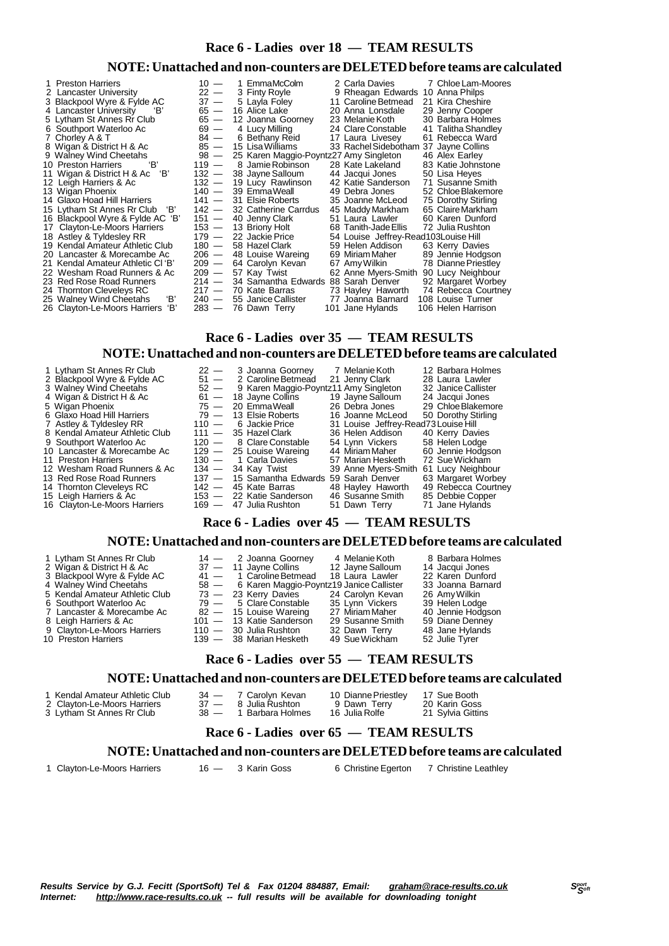# **Race 6 - Ladies over 18 — TEAM RESULTS**

## **NOTE:Unattached and non-counters are DELETEDbefore teams are calculated**

| 1 Preston Harriers                  | $10 -$  | 1 EmmaMcColm                                | 2 Carla Davies                        | 7 Chloe Lam-Moores  |
|-------------------------------------|---------|---------------------------------------------|---------------------------------------|---------------------|
| 2 Lancaster University              | $22 -$  | 3 Finty Royle                               | 9 Rheagan Edwards 10 Anna Philps      |                     |
| 3 Blackpool Wyre & Fylde AC         | $37 -$  | 5 Layla Foley                               | 11 Caroline Betmead                   | 21 Kira Cheshire    |
| 4 Lancaster University<br>'В'       | $65 -$  | 16 Alice Lake                               | 20 Anna Lonsdale                      | 29 Jenny Cooper     |
| 5 Lytham St Annes Rr Club           |         | 65 - 12 Joanna Goorney                      | 23 Melanie Koth                       | 30 Barbara Holmes   |
| 6 Southport Waterloo Ac             | $69 -$  | 4 Lucy Milling                              | 24 Clare Constable                    | 41 Talitha Shandley |
| 7 Chorley A & T                     | $84 -$  | 6 Bethany Reid                              | 17 Laura Livesey                      | 61 Rebecca Ward     |
| 8 Wigan & District H & Ac           | $85 -$  | 15 Lisa Williams                            | 33 Rachel Sidebotham 37 Jayne Collins |                     |
| 9 Walney Wind Cheetahs              |         | 98 - 25 Karen Maggio-Poyntz27 Amy Singleton |                                       | 46 Alex Earley      |
| 'В'<br>10 Preston Harriers          |         | 119 — 8 Jamie Robinson                      | 28 Kate Lakeland                      | 83 Katie Johnstone  |
| 11 Wigan & District H & Ac<br>'В'   |         | 132 - 38 Jayne Salloum                      | 44 Jacqui Jones                       | 50 Lisa Heyes       |
| 12 Leigh Harriers & Ac              |         | 132 - 19 Lucy Rawlinson                     | 42 Katie Sanderson                    | 71 Susanne Smith    |
| 13 Wigan Phoenix                    |         | $140 - 39$ Emma Weall                       | 49 Debra Jones                        | 52 Chloe Blakemore  |
| 14 Glaxo Hoad Hill Harriers         |         | $141 - 31$ Elsie Roberts                    | 35 Joanne McLeod                      | 75 Dorothy Stirling |
| 15 Lytham St Annes Rr Club 'B'      |         | 142 - 32 Catherine Carrdus                  | 45 Maddy Markham                      | 65 Claire Markham   |
| 16 Blackpool Wyre & Fylde AC 'B'    |         | $151 - 40$ Jenny Clark                      | 51 Laura Lawler                       | 60 Karen Dunford    |
| 17 Clayton-Le-Moors Harriers        |         | $153 - 13$ Briony Holt                      | 68 Tanith-Jade Ellis                  | 72 Julia Rushton    |
| 18 Astley & Tyldesley RR            |         | 179 — 22 Jackie Price                       | 54 Louise Jeffrey-Read103 Louise Hill |                     |
| 19 Kendal Amateur Athletic Club     |         | 180 - 58 Hazel Clark                        | 59 Helen Addison                      | 63 Kerry Davies     |
| 20 Lancaster & Morecambe Ac         |         | $206 - 48$ Louise Wareing                   | 69 Miriam Maher                       | 89 Jennie Hodgson   |
| 21 Kendal Amateur Athletic Cl 'B'   | $209 -$ | 64 Carolyn Kevan                            | 67 Amy Wilkin                         | 78 Dianne Priestley |
| 22 Wesham Road Runners & Ac         | $209 -$ | 57 Kay Twist                                | 62 Anne Myers-Smith                   | 90 Lucy Neighbour   |
| 23 Red Rose Road Runners            |         | 214 - 34 Samantha Edwards 88 Sarah Denver   |                                       | 92 Margaret Worbey  |
| 24 Thornton Cleveleys RC            |         | $217 - 70$ Kate Barras                      | 73 Hayley Haworth                     | 74 Rebecca Courtney |
| 'В'<br>25 Walney Wind Cheetahs      |         | 240 - 55 Janice Callister                   | 77 Joanna Barnard                     | 108 Louise Turner   |
| 'В'<br>26 Clayton-Le-Moors Harriers |         | 283 — 76 Dawn Terry                         | 101 Jane Hylands                      | 106 Helen Harrison  |

# **Race 6 - Ladies over 35 — TEAM RESULTS**

#### **NOTE:Unattached and non-counters are DELETEDbefore teams are calculated**

| 1 Lytham St Annes Rr Club      | $22 -$ | 3 Joanna Goorney                           | 7 Melanie Koth                        | 12 Barbara Holmes   |
|--------------------------------|--------|--------------------------------------------|---------------------------------------|---------------------|
| 2 Blackpool Wyre & Fylde AC    | $51 -$ | 2 Caroline Betmead                         | 21 Jenny Clark                        | 28 Laura Lawler     |
| 3 Walney Wind Cheetahs         |        | 52 - 9 Karen Maggio-Poyntz11 Amy Singleton |                                       | 32 Janice Callister |
| 4 Wigan & District H & Ac      |        | $61 - 18$ Jayne Collins                    | 19 Jayne Salloum                      | 24 Jacqui Jones     |
| 5 Wigan Phoenix                |        | 75 - 20 Emma Weall                         | 26 Debra Jones                        | 29 Chloe Blakemore  |
| 6 Glaxo Hoad Hill Harriers     |        | $79 - 13$ Elsie Roberts                    | 16 Joanne McLeod                      | 50 Dorothy Stirling |
| 7 Astley & Tyldesley RR        |        | $110 - 6$ Jackie Price                     | 31 Louise Jeffrey-Read73 Louise Hill  |                     |
| 8 Kendal Amateur Athletic Club |        | $111 - 35$ Hazel Clark                     | 36 Helen Addison                      | 40 Kerry Davies     |
| 9 Southport Waterloo Ac        |        | 120 - 8 Clare Constable                    | 54 Lynn Vickers                       | 58 Helen Lodge      |
| 10 Lancaster & Morecambe Ac    |        | $129 - 25$ Louise Wareing                  | 44 Miriam Maher                       | 60 Jennie Hodgson   |
| 11 Preston Harriers            |        | 130 - 1 Carla Davies                       | 57 Marian Hesketh                     | 72 Sue Wickham      |
| 12 Wesham Road Runners & Ac    |        | $134 - 34$ Kay Twist                       | 39 Anne Myers-Smith 61 Lucy Neighbour |                     |
| 13 Red Rose Road Runners       |        | 137 — 15 Samantha Edwards 59 Sarah Denver  |                                       | 63 Margaret Worbey  |
| 14 Thornton Cleveleys RC       |        | $142 - 45$ Kate Barras                     | 48 Hayley Haworth                     | 49 Rebecca Courtney |
| 15 Leigh Harriers & Ac         |        | 153 - 22 Katie Sanderson                   | 46 Susanne Smith                      | 85 Debbie Copper    |
| 16 Clayton-Le-Moors Harriers   |        | 169 - 47 Julia Rushton                     | 51 Dawn Terry                         | 71 Jane Hylands     |

# **Race 6 - Ladies over 45 — TEAM RESULTS**

### **NOTE:Unattached and non-counters are DELETEDbefore teams are calculated**

| 1 Lytham St Annes Rr Club      | $14 - 2$ Joanna Goorney                       | 4 Melanie Koth   | 8 Barbara Holmes  |
|--------------------------------|-----------------------------------------------|------------------|-------------------|
| 2 Wigan & District H & Ac      | 37 — 11 Jayne Collins                         | 12 Jayne Salloum | 14 Jacqui Jones   |
| 3 Blackpool Wyre & Fylde AC    | $41 - 1$ Caroline Betmead                     | 18 Laura Lawler  | 22 Karen Dunford  |
| 4 Walney Wind Cheetahs         | 58 - 6 Karen Maggio-Poyntz19 Janice Callister |                  | 33 Joanna Barnard |
| 5 Kendal Amateur Athletic Club | 73 - 23 Kerry Davies 24 Carolyn Kevan         |                  | 26 Amv Wilkin     |
| 6 Southport Waterloo Ac        | $79 - 5$ Clare Constable                      | 35 Lvnn Vickers  | 39 Helen Lodge    |
| 7 Lancaster & Morecambe Ac     | 82 - 15 Louise Wareing                        | 27 Miriam Maher  | 40 Jennie Hodgson |
| 8 Leigh Harriers & Ac          | 101 - 13 Katie Sanderson                      | 29 Susanne Smith | 59 Diane Denney   |
| 9 Clayton-Le-Moors Harriers    | $110 - 30$ Julia Rushton                      | 32 Dawn Terry    | 48 Jane Hylands   |
| 10 Preston Harriers            | 139 — 38 Marian Hesketh                       | 49 Sue Wickham   | 52 Julie Tyrer    |

# **Race 6 - Ladies over 55 — TEAM RESULTS**

# **NOTE:Unattached and non-counters are DELETEDbefore teams are calculated**

- 
- 
- 1 Kendal Amateur Athletic Club 34 7 Carolyn Kevan 10 Dianne Priestley 17 Sue Booth<br>2 Clayton-Le-Moors Harriers 37 8 Julia Rushton 9 Dawn Terry 20 Karin Goss<br>3 Lytham St Annes Rr Club 38 1 Barbara Holmes 16 Julia Rolf 2 Clayton-Le-Moors Harriers 37 — 8 Julia Rushton 9 Dawn Terry 20 Karin Goss
- 3 Lytham St Annes Rr Club 38 1 Barbara Holmes 16 Julia Rolfe 21 Sylvia Gittins

# **Race 6 - Ladies over 65 — TEAM RESULTS**

#### **NOTE:Unattached and non-counters are DELETEDbefore teams are calculated**

1 Clayton-Le-Moors Harriers 16 - 3 Karin Goss 6 Christine Egerton 7 Christine Leathley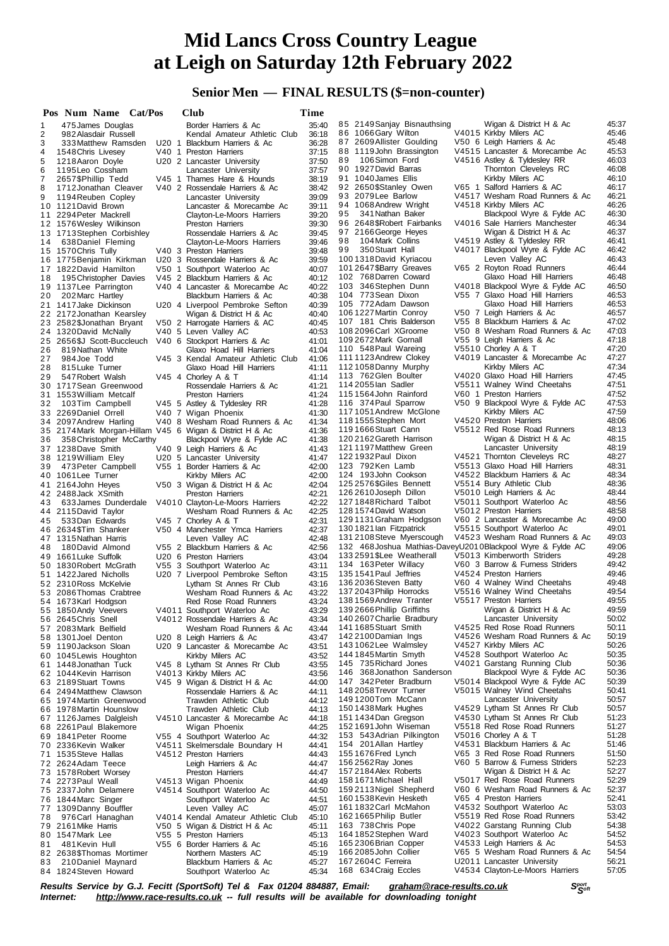# **Senior Men — FINAL RESULTS (\$=non-counter)**

|        | Pos Num Name Cat/Pos                                     | Club                                                      | Time           |                                                              |                                                                   |                |
|--------|----------------------------------------------------------|-----------------------------------------------------------|----------------|--------------------------------------------------------------|-------------------------------------------------------------------|----------------|
| 1      | 475 James Douglas                                        | Border Harriers & Ac                                      | 35:40          | 85 2149 Sanjay Bisnauthsing                                  | Wigan & District H & Ac                                           | 45:37          |
| 2      | 982 Alasdair Russell                                     | Kendal Amateur Athletic Club                              | 36:18          | 86 1066 Gary Wilton                                          | V4015 Kirkby Milers AC                                            | 45:46          |
| 3      | 333 Matthew Ramsden                                      | U20 1 Blackburn Harriers & Ac                             | 36:28          | 87 2609 Allister Goulding                                    | V50 6 Leigh Harriers & Ac                                         | 45:48          |
| 4      | 1548 Chris Livesey                                       | V40 1 Preston Harriers                                    | 37:15          | 88 1119 John Brassington                                     | V4515 Lancaster & Morecambe Ac                                    | 45:53          |
| 5      | 1218 Aaron Doyle                                         | U20 2 Lancaster University                                | 37:50          | 89<br>106Simon Ford<br>90 1927 David Barras                  | V4516 Astley & Tyldesley RR<br>Thornton Cleveleys RC              | 46:03<br>46:08 |
| 6      | 1195 Leo Cossham<br>2657\$Phillip Tedd                   | Lancaster University<br>V45 1 Thames Hare & Hounds        | 37:57          | 91 1040 James Ellis                                          | Kirkby Milers AC                                                  | 46:10          |
| 7<br>8 | 1712 Jonathan Cleaver                                    | V40 2 Rossendale Harriers & Ac                            | 38:19<br>38:42 | 92 2650\$Stanley Owen                                        | V65 1 Salford Harriers & AC                                       | 46:17          |
| 9      | 1194 Reuben Copley                                       | Lancaster University                                      | 39:09          | 93 2079 Lee Barlow                                           | V4517 Wesham Road Runners & Ac                                    | 46:21          |
|        | 10 1121 David Brown                                      | Lancaster & Morecambe Ac                                  | 39:11          | 94 1068 Andrew Wright                                        | V4518 Kirkby Milers AC                                            | 46:26          |
| 11     | 2294 Peter Mackrell                                      | Clayton-Le-Moors Harriers                                 | 39:20          | 95<br>341 Nathan Baker                                       | Blackpool Wyre & Fylde AC                                         | 46:30          |
|        | 12 1576 Wesley Wilkinson                                 | Preston Harriers                                          | 39:30          | 96 2648 \$Robert Fairbanks                                   | V4016 Sale Harriers Manchester                                    | 46:34          |
|        | 13 1713 Stephen Corbishley                               | Rossendale Harriers & Ac                                  | 39.45          | 97 2166 George Heyes                                         | Wigan & District H & Ac                                           | 46:37          |
| 14     | 638 Daniel Fleming                                       | Clayton-Le-Moors Harriers                                 | 39:46          | 98<br>104 Mark Collins                                       | V4519 Astley & Tyldesley RR                                       | 46:41          |
|        | 15 1570 Chris Tully                                      | V40 3 Preston Harriers                                    | 39:48          | 99<br>350 Stuart Hall                                        | V4017 Blackpool Wyre & Fylde AC                                   | 46:42          |
|        | 16 1775 Benjamin Kirkman                                 | U20 3 Rossendale Harriers & Ac                            | 39.59          | 1001318 David Kyriacou                                       | Leven Valley AC                                                   | 46:43          |
|        | 17 1822 David Hamilton                                   | V50 1 Southport Waterloo Ac                               | 40:07          | 101 2647 \$Barry Greaves                                     | V65 2 Royton Road Runners                                         | 46:44          |
| 18     | 195 Christopher Davies                                   | V45 2 Blackburn Harriers & Ac                             | 40:12          | 102 768 Darren Coward                                        | Glaxo Hoad Hill Harriers                                          | 46:48<br>46:50 |
|        | 19 1137 Lee Parrington                                   | V40 4 Lancaster & Morecambe Ac<br>Blackburn Harriers & Ac | 40:22<br>40:38 | 103 346 Stephen Dunn<br>104 773 Sean Dixon                   | V4018 Blackpool Wyre & Fylde AC<br>V55 7 Glaxo Hoad Hill Harriers | 46:53          |
| 20     | 202 Marc Hartley<br>21 1417 Jake Dickinson               | U20 4 Liverpool Pembroke Sefton                           | 40:39          | 105 772 Adam Dawson                                          | Glaxo Hoad Hill Harriers                                          | 46:53          |
|        | 22 2172 Jonathan Kearsley                                | Wigan & District H & Ac                                   | 40:40          | 1061227 Martin Conroy                                        | V50 7 Leigh Harriers & Ac                                         | 46:57          |
|        | 23 2582\$Jonathan Bryant                                 | V50 2 Harrogate Harriers & AC                             | 40:45          | 107 181 Chris Balderson                                      | V55 8 Blackburn Harriers & Ac                                     | 47:02          |
|        | 24 1320 David McNally                                    | V40 5 Leven Valley AC                                     | 40.53          | 108 2096 Carl XGroome                                        | V50 8 Wesham Road Runners & Ac                                    | 47:03          |
|        | 25 2656\$J Scott-Buccleuch                               | V40 6 Stockport Harriers & Ac                             | 41:01          | 109 2672 Mark Gornall                                        | V55 9 Leigh Harriers & Ac                                         | 47:18          |
| 26     | 819 Nathan White                                         | Glaxo Hoad Hill Harriers                                  | 41:04          | 110 548 Paul Wareing                                         | V5510 Chorley A & T                                               | 47:20          |
| 27     | 984 Joe Todd                                             | V45 3 Kendal Amateur Athletic Club                        | 41:06          | 1111123 Andrew Clokey                                        | V4019 Lancaster & Morecambe Ac                                    | 47:27          |
| 28     | 815 Luke Turner                                          | Glaxo Hoad Hill Harriers                                  | 41:11          | 1121058 Danny Murphy                                         | Kirkby Milers AC                                                  | 47:34          |
| 29     | 547 Robert Walsh                                         | V45 4 Chorley A & T                                       | 41:14          | 113 762 Glen Boulter                                         | V4020 Glaxo Hoad Hill Harriers                                    | 47:45          |
|        | 30 1717 Sean Greenwood                                   | Rossendale Harriers & Ac                                  | 41:21          | 114 2055 lan Sadler                                          | V5511 Walney Wind Cheetahs                                        | 47:51          |
|        | 31 1553 William Metcalf                                  | <b>Preston Harriers</b>                                   | 41:24          | 1151564John Rainford                                         | V60 1 Preston Harriers                                            | 47:52          |
| 32     | 103Tim Campbell                                          | V45 5 Astley & Tyldesley RR                               | 41:28          | 116 374 Paul Sparrow                                         | V50 9 Blackpool Wyre & Fylde AC                                   | 47:53          |
|        | 33 2269 Daniel Orrell                                    | V40 7 Wigan Phoenix                                       | 41:30          | 1171051 Andrew McGlone                                       | Kirkby Milers AC                                                  | 47:59          |
|        | 34 2097 Andrew Harling                                   | V40 8 Wesham Road Runners & Ac                            | 41:34          | 118 1555 Stephen Mort                                        | V4520 Preston Harriers                                            | 48:06          |
|        | 35 2174 Mark Morgan-Hillam V45 6 Wigan & District H & Ac |                                                           | 41:36          | 1191666Stuart Cann<br>120 2162 Gareth Harrison               | V5512 Red Rose Road Runners                                       | 48:13<br>48:15 |
| 36     | 358 Christopher McCarthy                                 | Blackpool Wyre & Fylde AC                                 | 41:38          | 1211197 Matthew Green                                        | Wigan & District H & Ac<br>Lancaster University                   | 48:19          |
|        | 37 1238 Dave Smith                                       | V40 9 Leigh Harriers & Ac                                 | 41:43<br>41:47 | 1221932 Paul Dixon                                           | V4521 Thornton Cleveleys RC                                       | 48:27          |
| 39     | 38 1219 William Eley<br>473 Peter Campbell               | U20 5 Lancaster University<br>V55 1 Border Harriers & Ac  | 42:00          | 123 792Ken Lamb                                              | V5513 Glaxo Hoad Hill Harriers                                    | 48:31          |
|        | 40 1061 Lee Turner                                       | Kirkby Milers AC                                          | 42:00          | 124 193 John Cookson                                         | V4522 Blackburn Harriers & Ac                                     | 48:34          |
|        | 41 2164 John Heyes                                       | V50 3 Wigan & District H & Ac                             | 42:04          | 125 2576 \$Giles Bennett                                     | V5514 Bury Athletic Club                                          | 48:36          |
|        | 42 2488 Jack XSmith                                      | Preston Harriers                                          | 42:21          | 126 2610 Joseph Dillon                                       | V5010 Leigh Harriers & Ac                                         | 48:44          |
| 43     | 633 James Dunderdale                                     | V4010 Clayton-Le-Moors Harriers                           | 42:22          | 1271848 Richard Talbot                                       | V5011 Southport Waterloo Ac                                       | 48:56          |
|        | 44 2115 David Taylor                                     | Wesham Road Runners & Ac                                  | 42:25          | 1281574 David Watson                                         | V5012 Preston Harriers                                            | 48:58          |
| 45     | 533 Dan Edwards                                          | V45 7 Chorley A & T                                       | 42:31          | 129 1131 Graham Hodgson                                      | V60 2 Lancaster & Morecambe Ac                                    | 49:00          |
|        | 46 2634\$Tim Shanker                                     | V50 4 Manchester Ymca Harriers                            | 42:37          | 130 1821 lan Fitzpatrick                                     | V5515 Southport Waterloo Ac                                       | 49:01          |
|        | 47 1315 Nathan Harris                                    | Leven Valley AC                                           | 42:48          | 131 2108 Steve Myerscough                                    | V4523 Wesham Road Runners & Ac                                    | 49:03          |
| 48     | 180 David Almond                                         | V55 2 Blackburn Harriers & Ac                             | 42:56          | 132 468 Joshua Mathias-DaveyU201 0 Blackpool Wyre & Fylde AC |                                                                   | 49:06          |
|        | 49 1661 Luke Suffolk                                     | U20 6 Preston Harriers                                    | 43:04          | 133 2591 \$Lee Weatherall                                    | V5013 Kimberworth Striders                                        | 49:28          |
|        | 50 1830 Robert McGrath                                   | V55 3 Southport Waterloo Ac                               | 43:11          | 134 163 Peter Willacy                                        | V60 3 Barrow & Furness Striders<br>V4524 Preston Harriers         | 49:42<br>49:46 |
|        | 51 1422 Jared Nicholls                                   | U20 7 Liverpool Pembroke Sefton                           | 43:15          | 135 1541 Paul Jeffries<br>136 2036 Steven Batty              | V60 4 Walney Wind Cheetahs                                        | 49:48          |
|        | 52 2310 Ross McKelvie<br>53 2086 Thomas Crabtree         | Lytham St Annes Rr Club<br>Wesham Road Runners & Ac       | 43:16<br>43:22 | 137 2043 Philip Horrocks                                     | V5516 Walney Wind Cheetahs                                        | 49:54          |
|        | 54 1673 Karl Hodgson                                     | Red Rose Road Runners                                     | 43:24          | 1381569 Andrew Tranter                                       | V5517 Preston Harriers                                            | 49:55          |
|        | 55 1850 Andy Veevers                                     | V4011 Southport Waterloo Ac                               | 43:29          | 139 2666 Phillip Griffiths                                   | Wigan & District H & Ac                                           | 49:59          |
|        | 56 2645 Chris Snell                                      | V4012 Rossendale Harriers & Ac                            | 43:34          | 140 2607 Charlie Bradbury                                    | Lancaster University                                              | 50:02          |
|        | 57 2083 Mark Belfield                                    | Wesham Road Runners & Ac                                  | 43.44          | 1411685Stuart Smith                                          | V4525 Red Rose Road Runners                                       | 50:11          |
|        | 58 1301 Joel Denton                                      | U20 8 Leigh Harriers & Ac                                 | 43:47          | 142 2100 Damian Ings                                         | V4526 Wesham Road Runners & Ac                                    | 50:19          |
|        | 59 1190 Jackson Sloan                                    | U20 9 Lancaster & Morecambe Ac                            | 43:51          | 1431062 Lee Walmsley                                         | V4527 Kirkby Milers AC                                            | 50:26          |
|        | 60 1045 Lewis Houghton                                   | Kirkby Milers AC                                          | 43.52          | 1441845 Martin Smyth                                         | V4528 Southport Waterloo Ac                                       | 50:35          |
|        | 61 1448 Jonathan Tuck                                    | V45 8 Lytham St Annes Rr Club                             | 43:55          | 145 735 Richard Jones                                        | V4021 Garstang Running Club                                       | 50:36          |
|        | 62 1044 Kevin Harrison                                   | V4013 Kirkby Milers AC                                    | 43:56          | 146<br>368 Jonathon Sanderson                                | Blackpool Wyre & Fylde AC                                         | 50:36          |
|        | 63 2189 Stuart Towns                                     | V45 9 Wigan & District H & Ac                             | 44:00          | 147 342 Peter Bradburn                                       | V5014 Blackpool Wyre & Fylde AC                                   | 50:39          |
|        | 64 2494 Matthew Clawson                                  | Rossendale Harriers & Ac                                  | 44:11          | 148 2058 Trevor Turner<br>1491200Tom McCann                  | V5015 Walney Wind Cheetahs                                        | 50:41<br>50:57 |
|        | 65 1974 Martin Greenwood                                 | Trawden Athletic Club                                     | 44:12          | 1501438 Mark Hughes                                          | Lancaster University<br>V4529 Lytham St Annes Rr Club             | 50:57          |
|        | 66 1978 Martin Hounslow<br>67 1126 James Dalgleish       | Trawden Athletic Club<br>V4510 Lancaster & Morecambe Ac   | 44:13<br>44:18 | 151 1434 Dan Gregson                                         | V4530 Lytham St Annes Rr Club                                     | 51:23          |
|        | 68 2261 Paul Blakemore                                   | Wigan Phoenix                                             | 44:25          | 1521691John Wiseman                                          | V5518 Red Rose Road Runners                                       | 51:27          |
|        | 69 1841 Peter Roome                                      | V55 4 Southport Waterloo Ac                               | 44:32          | 153 543 Adrian Pilkington                                    | V5016 Chorley A & T                                               | 51:28          |
|        | 70 2336 Kevin Walker                                     | V4511 Skelmersdale Boundary H                             | 44:41          | 154 201 Allan Hartley                                        | V4531 Blackburn Harriers & Ac                                     | 51:46          |
|        | 71 1535 Steve Hallas                                     | V4512 Preston Harriers                                    | 44:43          | 1551676Fred Lynch                                            | V65 3 Red Rose Road Runners                                       | 51:50          |
|        | 72 2624 Adam Teece                                       | Leigh Harriers & Ac                                       | 44:47          | 156 2562 Ray Jones                                           | V60 5 Barrow & Furness Striders                                   | 52:23          |
|        | 73 1578 Robert Worsey                                    | Preston Harriers                                          | 44:47          | 157 2184 Alex Roberts                                        | Wigan & District H & Ac                                           | 52:27          |
|        | 74 2273 Paul Weall                                       | V4513 Wigan Phoenix                                       | 44:49          | 1581671 Michael Hall                                         | V5017 Red Rose Road Runners                                       | 52:29          |
|        | 75 2337 John Delamere                                    | V4514 Southport Waterloo Ac                               | 44.50          | 1592113Nigel Shepherd                                        | V60 6 Wesham Road Runners & Ac                                    | 52:37          |
|        | 76 1844 Marc Singer                                      | Southport Waterloo Ac                                     | 44.51          | 1601538 Kevin Hesketh                                        | V65 4 Preston Harriers                                            | 52:41          |
| 77     | 1309 Danny Bouffler                                      | Leven Valley AC                                           | 45:07          | 1611832 Carl McMahon                                         | V4532 Southport Waterloo Ac                                       | 53:03          |
| 78     | 976 Carl Hanaghan                                        | V4014 Kendal Amateur Athletic Club                        | 45:10          | 1621665 Philip Butler                                        | V5519 Red Rose Road Runners                                       | 53:42          |
|        | 79 2161 Mike Harris                                      | V50 5 Wigan & District H & Ac                             | 45:11          | 163 738 Chris Pope                                           | V4022 Garstang Running Club                                       | 54:38          |
|        | 80 1547 Mark Lee                                         | V55 5 Preston Harriers                                    | 45:13          | 164 1852 Stephen Ward                                        | V4023 Southport Waterloo Ac                                       | 54:52          |
| 81     | 481 Kevin Hull                                           | V55 6 Border Harriers & Ac                                | 45:16          | 165 2306 Brian Copper<br>166 2085 John Collier               | V4533 Leigh Harriers & Ac<br>V65 5 Wesham Road Runners & Ac       | 54:53<br>54:54 |
| 83     | 82 2638\$Thomas Mortimer<br>210 Daniel Maynard           | Northern Masters AC<br>Blackburn Harriers & Ac            | 45:19<br>45:27 | 167 2604 C Ferreira                                          | U2011 Lancaster University                                        | 56:21          |
|        | 84 1824 Steven Howard                                    | Southport Waterloo Ac                                     | 45:34          | 168 634 Craig Eccles                                         | V4534 Clayton-Le-Moors Harriers                                   | 57:05          |
|        |                                                          |                                                           |                |                                                              |                                                                   |                |

Results Service by G.J. Fecitt (SportSoft) Tel & Fax 01204 884887, Email: <u>[graham@race-results.co.uk](mailto:graham@race-results.co.uk)</u> S<sup>oon</sup><br>Internet: <u><http://www.race-results.co.uk></u> -- full results will be available for downloading tonight